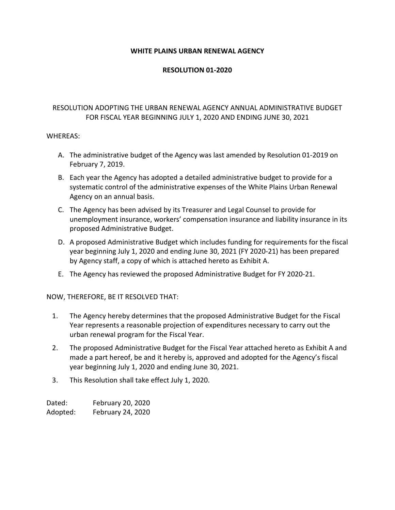### **WHITE PLAINS URBAN RENEWAL AGENCY**

### **RESOLUTION 01-2020**

## RESOLUTION ADOPTING THE URBAN RENEWAL AGENCY ANNUAL ADMINISTRATIVE BUDGET FOR FISCAL YEAR BEGINNING JULY 1, 2020 AND ENDING JUNE 30, 2021

### WHEREAS:

- A. The administrative budget of the Agency was last amended by Resolution 01-2019 on February 7, 2019.
- B. Each year the Agency has adopted a detailed administrative budget to provide for a systematic control of the administrative expenses of the White Plains Urban Renewal Agency on an annual basis.
- C. The Agency has been advised by its Treasurer and Legal Counsel to provide for unemployment insurance, workers' compensation insurance and liability insurance in its proposed Administrative Budget.
- D. A proposed Administrative Budget which includes funding for requirements for the fiscal year beginning July 1, 2020 and ending June 30, 2021 (FY 2020-21) has been prepared by Agency staff, a copy of which is attached hereto as Exhibit A.
- E. The Agency has reviewed the proposed Administrative Budget for FY 2020-21.

NOW, THEREFORE, BE IT RESOLVED THAT:

- 1. The Agency hereby determines that the proposed Administrative Budget for the Fiscal Year represents a reasonable projection of expenditures necessary to carry out the urban renewal program for the Fiscal Year.
- 2. The proposed Administrative Budget for the Fiscal Year attached hereto as Exhibit A and made a part hereof, be and it hereby is, approved and adopted for the Agency's fiscal year beginning July 1, 2020 and ending June 30, 2021.
- 3. This Resolution shall take effect July 1, 2020.

Dated: February 20, 2020 Adopted: February 24, 2020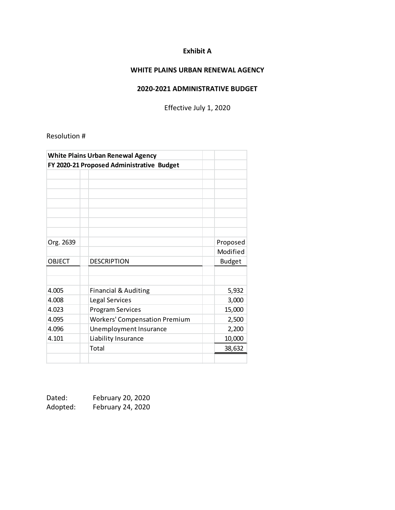# **Exhibit A**

# **WHITE PLAINS URBAN RENEWAL AGENCY**

### **2020-2021 ADMINISTRATIVE BUDGET**

Effective July 1, 2020

Resolution #

| <b>White Plains Urban Renewal Agency</b>  |                                      |               |  |
|-------------------------------------------|--------------------------------------|---------------|--|
| FY 2020-21 Proposed Administrative Budget |                                      |               |  |
|                                           |                                      |               |  |
|                                           |                                      |               |  |
|                                           |                                      |               |  |
|                                           |                                      |               |  |
|                                           |                                      |               |  |
|                                           |                                      |               |  |
|                                           |                                      |               |  |
| Org. 2639                                 |                                      | Proposed      |  |
|                                           |                                      | Modified      |  |
| <b>OBJECT</b>                             | <b>DESCRIPTION</b>                   | <b>Budget</b> |  |
|                                           |                                      |               |  |
|                                           |                                      |               |  |
| 4.005                                     | <b>Financial &amp; Auditing</b>      | 5,932         |  |
| 4.008                                     | Legal Services                       | 3,000         |  |
| 4.023                                     | <b>Program Services</b>              | 15,000        |  |
| 4.095                                     | <b>Workers' Compensation Premium</b> | 2,500         |  |
| 4.096                                     | Unemployment Insurance               | 2,200         |  |
| 4.101                                     | Liability Insurance                  | 10,000        |  |
|                                           | Total                                | 38,632        |  |
|                                           |                                      |               |  |

| Dated:   | February 20, 2020 |
|----------|-------------------|
| Adopted: | February 24, 2020 |